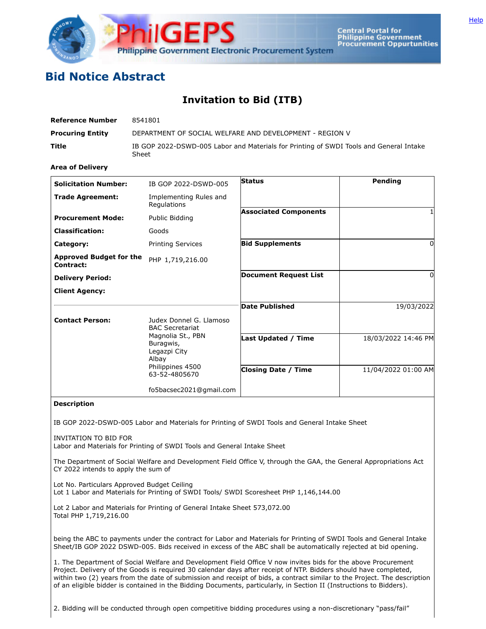

**Central Portal for<br>Philippine Government Procurement Oppurtunities** 

## **Bid Notice Abstract**

## **Invitation to Bid (ITB)**

| <b>Reference Number</b> | 8541801                                                                                         |
|-------------------------|-------------------------------------------------------------------------------------------------|
| <b>Procuring Entity</b> | DEPARTMENT OF SOCIAL WELFARE AND DEVELOPMENT - REGION V                                         |
| Title                   | IB GOP 2022-DSWD-005 Labor and Materials for Printing of SWDI Tools and General Intake<br>Sheet |

**Area of Delivery**

| <b>Solicitation Number:</b>                 | IB GOP 2022-DSWD-005                                                                         | <b>Status</b>                | Pending             |
|---------------------------------------------|----------------------------------------------------------------------------------------------|------------------------------|---------------------|
| <b>Trade Agreement:</b>                     | Implementing Rules and<br>Regulations                                                        |                              |                     |
| <b>Procurement Mode:</b>                    | Public Bidding                                                                               | <b>Associated Components</b> |                     |
| <b>Classification:</b>                      | Goods                                                                                        |                              |                     |
| Category:                                   | <b>Printing Services</b>                                                                     | <b>Bid Supplements</b>       | 0                   |
| <b>Approved Budget for the</b><br>Contract: | PHP 1,719,216.00                                                                             |                              |                     |
| <b>Delivery Period:</b>                     |                                                                                              | <b>Document Request List</b> | 0                   |
| <b>Client Agency:</b>                       |                                                                                              |                              |                     |
|                                             |                                                                                              | <b>Date Published</b>        | 19/03/2022          |
| <b>Contact Person:</b>                      | Judex Donnel G. Llamoso<br><b>BAC Secretariat</b>                                            |                              |                     |
|                                             | Magnolia St., PBN<br>Buragwis,<br>Legazpi City<br>Albay<br>Philippines 4500<br>63-52-4805670 | Last Updated / Time          | 18/03/2022 14:46 PM |
|                                             |                                                                                              | <b>Closing Date / Time</b>   | 11/04/2022 01:00 AM |
|                                             | fo5bacsec2021@gmail.com                                                                      |                              |                     |

## **Description**

IB GOP 2022-DSWD-005 Labor and Materials for Printing of SWDI Tools and General Intake Sheet

INVITATION TO BID FOR Labor and Materials for Printing of SWDI Tools and General Intake Sheet

The Department of Social Welfare and Development Field Office V, through the GAA, the General Appropriations Act CY 2022 intends to apply the sum of

Lot No. Particulars Approved Budget Ceiling

Lot 1 Labor and Materials for Printing of SWDI Tools/ SWDI Scoresheet PHP 1,146,144.00

Lot 2 Labor and Materials for Printing of General Intake Sheet 573,072.00 Total PHP 1,719,216.00

being the ABC to payments under the contract for Labor and Materials for Printing of SWDI Tools and General Intake Sheet/IB GOP 2022 DSWD-005. Bids received in excess of the ABC shall be automatically rejected at bid opening.

1. The Department of Social Welfare and Development Field Office V now invites bids for the above Procurement Project. Delivery of the Goods is required 30 calendar days after receipt of NTP. Bidders should have completed, within two (2) years from the date of submission and receipt of bids, a contract similar to the Project. The description of an eligible bidder is contained in the Bidding Documents, particularly, in Section II (Instructions to Bidders).

2. Bidding will be conducted through open competitive bidding procedures using a non-discretionary "pass/fail"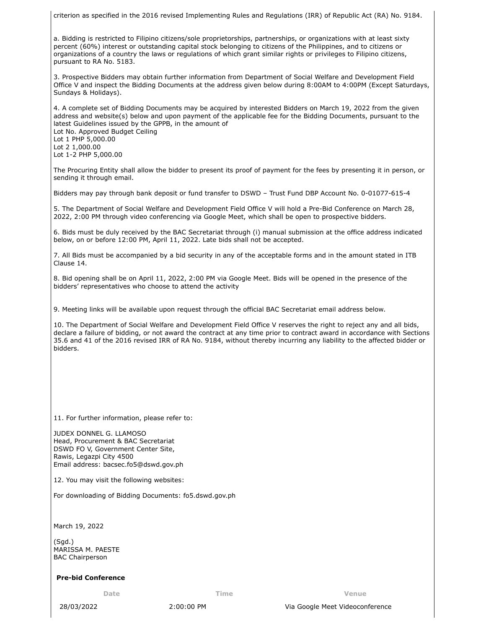criterion as specified in the 2016 revised Implementing Rules and Regulations (IRR) of Republic Act (RA) No. 9184.

a. Bidding is restricted to Filipino citizens/sole proprietorships, partnerships, or organizations with at least sixty percent (60%) interest or outstanding capital stock belonging to citizens of the Philippines, and to citizens or organizations of a country the laws or regulations of which grant similar rights or privileges to Filipino citizens, pursuant to RA No. 5183.

3. Prospective Bidders may obtain further information from Department of Social Welfare and Development Field Office V and inspect the Bidding Documents at the address given below during 8:00AM to 4:00PM (Except Saturdays, Sundays & Holidays).

4. A complete set of Bidding Documents may be acquired by interested Bidders on March 19, 2022 from the given address and website(s) below and upon payment of the applicable fee for the Bidding Documents, pursuant to the latest Guidelines issued by the GPPB, in the amount of Lot No. Approved Budget Ceiling Lot 1 PHP 5,000.00 Lot 2 1,000.00 Lot 1-2 PHP 5,000.00

The Procuring Entity shall allow the bidder to present its proof of payment for the fees by presenting it in person, or sending it through email.

Bidders may pay through bank deposit or fund transfer to DSWD – Trust Fund DBP Account No. 0-01077-615-4

5. The Department of Social Welfare and Development Field Office V will hold a Pre-Bid Conference on March 28, 2022, 2:00 PM through video conferencing via Google Meet, which shall be open to prospective bidders.

6. Bids must be duly received by the BAC Secretariat through (i) manual submission at the office address indicated below, on or before 12:00 PM, April 11, 2022. Late bids shall not be accepted.

7. All Bids must be accompanied by a bid security in any of the acceptable forms and in the amount stated in ITB Clause 14.

8. Bid opening shall be on April 11, 2022, 2:00 PM via Google Meet. Bids will be opened in the presence of the bidders' representatives who choose to attend the activity

9. Meeting links will be available upon request through the official BAC Secretariat email address below.

10. The Department of Social Welfare and Development Field Office V reserves the right to reject any and all bids, declare a failure of bidding, or not award the contract at any time prior to contract award in accordance with Sections 35.6 and 41 of the 2016 revised IRR of RA No. 9184, without thereby incurring any liability to the affected bidder or bidders.

11. For further information, please refer to:

JUDEX DONNEL G. LLAMOSO Head, Procurement & BAC Secretariat DSWD FO V, Government Center Site, Rawis, Legazpi City 4500 Email address: bacsec.fo5@dswd.gov.ph

12. You may visit the following websites:

For downloading of Bidding Documents: fo5.dswd.gov.ph

March 19, 2022

(Sgd.) MARISSA M. PAESTE BAC Chairperson

## **Pre-bid Conference**

**Date Time Venue**